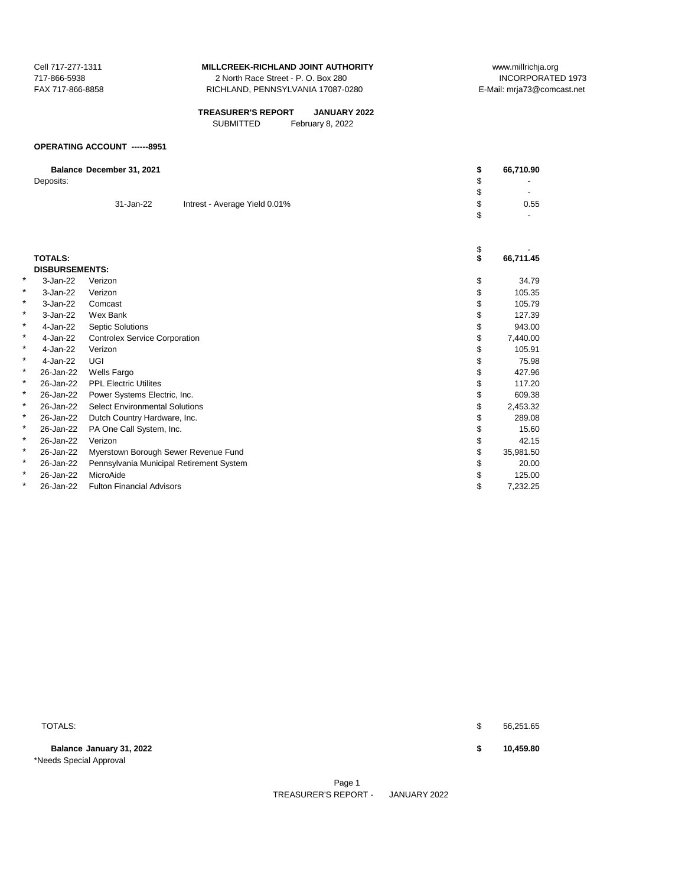2 North Race Street - P. O. Box 280 FAX 717-866-8858 RICHLAND, PENNSYLVANIA 17087-0280 E-Mail: mrja73@comcast.net

| <b>TREASURER'S REPORT</b> | <b>JANUARY 2022</b> |
|---------------------------|---------------------|
| <b>SUBMITTED</b>          | February 8, 2022    |

#### **OPERATING ACCOUNT ------8951**

|   | Deposits:             | Balance December 31, 2021                  | \$<br>\$<br>\$ | 66,710.90 |
|---|-----------------------|--------------------------------------------|----------------|-----------|
|   |                       | 31-Jan-22<br>Intrest - Average Yield 0.01% | \$             | 0.55      |
|   |                       |                                            | \$             |           |
|   |                       |                                            |                |           |
|   |                       |                                            |                |           |
|   |                       |                                            | \$<br>\$       |           |
|   | <b>TOTALS:</b>        |                                            |                | 66,711.45 |
|   | <b>DISBURSEMENTS:</b> |                                            |                |           |
| * | 3-Jan-22              | Verizon                                    | \$             | 34.79     |
| * | 3-Jan-22              | Verizon                                    | \$             | 105.35    |
| * | 3-Jan-22              | Comcast                                    |                | 105.79    |
| * | 3-Jan-22              | Wex Bank                                   | \$             | 127.39    |
| * | 4-Jan-22              | <b>Septic Solutions</b>                    | \$             | 943.00    |
| * | 4-Jan-22              | <b>Controlex Service Corporation</b>       | \$             | 7,440.00  |
| * | 4-Jan-22              | Verizon                                    |                | 105.91    |
| * | 4-Jan-22              | UGI                                        | \$             | 75.98     |
| * | 26-Jan-22             | <b>Wells Fargo</b>                         | \$             | 427.96    |
| * | 26-Jan-22             | <b>PPL Electric Utilites</b>               |                | 117.20    |
| * | 26-Jan-22             | Power Systems Electric, Inc.               | \$             | 609.38    |
| * | 26-Jan-22             | <b>Select Environmental Solutions</b>      |                | 2,453.32  |
| * | 26-Jan-22             | Dutch Country Hardware, Inc.               | \$             | 289.08    |
| * | 26-Jan-22             | PA One Call System, Inc.                   |                | 15.60     |
| * | 26-Jan-22             | Verizon                                    | \$             | 42.15     |
| * | 26-Jan-22             | Myerstown Borough Sewer Revenue Fund       | \$             | 35,981.50 |
| * | 26-Jan-22             | Pennsylvania Municipal Retirement System   |                | 20.00     |
| * | 26-Jan-22             | MicroAide                                  | \$             | 125.00    |
| * | 26-Jan-22             | <b>Fulton Financial Advisors</b>           | \$             | 7,232.25  |

**Balance January 31, 2022 \$ 10,459.80** \*Needs Special Approval

 $\texttt{TOTALS:}\quad \texttt{\$} \qquad \texttt{56,251.65}$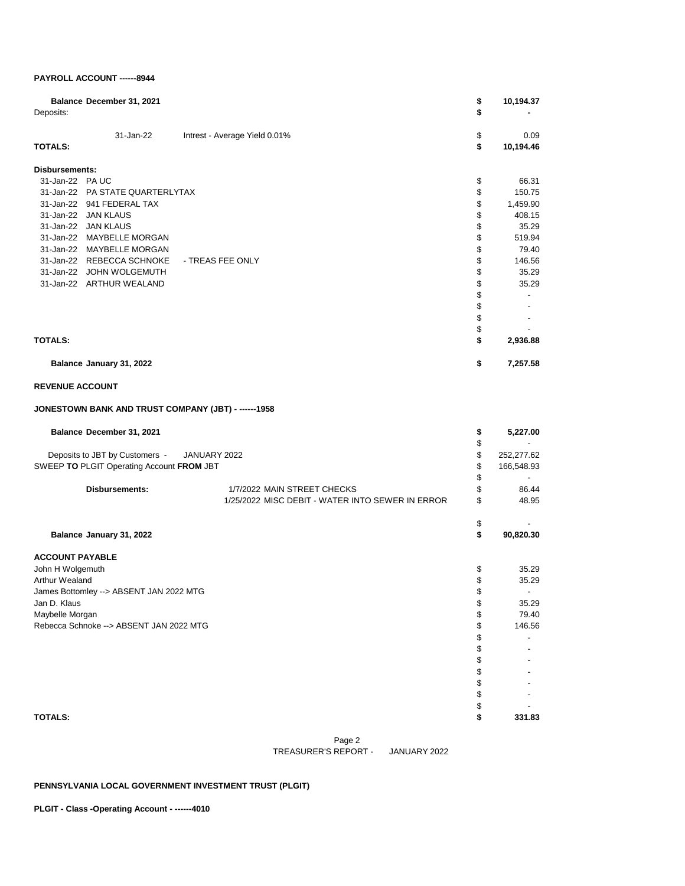## **PAYROLL ACCOUNT ------8944**

| Deposits:             | Balance December 31, 2021 |                               | \$<br>\$ | 10,194.37         |
|-----------------------|---------------------------|-------------------------------|----------|-------------------|
| <b>TOTALS:</b>        | 31-Jan-22                 | Intrest - Average Yield 0.01% | \$<br>\$ | 0.09<br>10,194.46 |
|                       |                           |                               |          |                   |
| <b>Disbursements:</b> |                           |                               |          |                   |
| 31-Jan-22             | <b>PAUC</b>               |                               | \$       | 66.31             |
| 31-Jan-22             | PA STATE QUARTERLYTAX     |                               | \$       | 150.75            |
| 31-Jan-22             | 941 FEDERAL TAX           |                               | \$       | 1,459.90          |
|                       | 31-Jan-22 JAN KLAUS       |                               | \$       | 408.15            |
| 31-Jan-22             | <b>JAN KLAUS</b>          |                               | \$       | 35.29             |
| 31-Jan-22             | <b>MAYBELLE MORGAN</b>    |                               | \$       | 519.94            |
| 31-Jan-22             | <b>MAYBELLE MORGAN</b>    |                               | \$       | 79.40             |
| 31-Jan-22             | <b>REBECCA SCHNOKE</b>    | - TREAS FEE ONLY              | \$       | 146.56            |
| 31-Jan-22             | <b>JOHN WOLGEMUTH</b>     |                               | \$       | 35.29             |
|                       | 31-Jan-22 ARTHUR WEALAND  |                               | \$       | 35.29             |
|                       |                           |                               | \$       |                   |
|                       |                           |                               | \$       |                   |
|                       |                           |                               | \$       |                   |
|                       |                           |                               | \$       |                   |
| <b>TOTALS:</b>        |                           |                               |          | 2,936.88          |
|                       | Balance January 31, 2022  |                               | \$       | 7,257.58          |

### **REVENUE ACCOUNT**

## **JONESTOWN BANK AND TRUST COMPANY (JBT) - ------1958**

| Balance December 31, 2021                      |                                                  | S  | 5,227.00   |
|------------------------------------------------|--------------------------------------------------|----|------------|
|                                                |                                                  |    |            |
| Deposits to JBT by Customers -<br>JANUARY 2022 |                                                  |    | 252,277.62 |
| SWEEP TO PLGIT Operating Account FROM JBT      |                                                  | S  | 166,548.93 |
|                                                |                                                  | \$ |            |
| <b>Disbursements:</b>                          | 1/7/2022 MAIN STREET CHECKS                      | \$ | 86.44      |
|                                                | 1/25/2022 MISC DEBIT - WATER INTO SEWER IN ERROR | \$ | 48.95      |
|                                                |                                                  | \$ |            |
| Balance January 31, 2022                       |                                                  | \$ | 90,820.30  |
| <b>ACCOUNT PAYABLE</b>                         |                                                  |    |            |
| John H Wolgemuth                               |                                                  | \$ | 35.29      |
| Arthur Wealand                                 |                                                  | \$ | 35.29      |
| James Bottomley -- > ABSENT JAN 2022 MTG       |                                                  | \$ |            |
| Jan D. Klaus                                   |                                                  |    | 35.29      |
| Maybelle Morgan                                |                                                  |    | 79.40      |
| Rebecca Schnoke -- > ABSENT JAN 2022 MTG       |                                                  |    | 146.56     |
|                                                |                                                  |    |            |
|                                                |                                                  |    |            |
|                                                |                                                  |    |            |
|                                                |                                                  |    |            |
|                                                |                                                  |    |            |
|                                                |                                                  |    |            |
|                                                |                                                  |    |            |
| <b>TOTALS:</b>                                 |                                                  |    | 331.83     |

Page 2 TREASURER'S REPORT - JANUARY 2022

## **PENNSYLVANIA LOCAL GOVERNMENT INVESTMENT TRUST (PLGIT)**

**PLGIT - Class -Operating Account - ------4010**